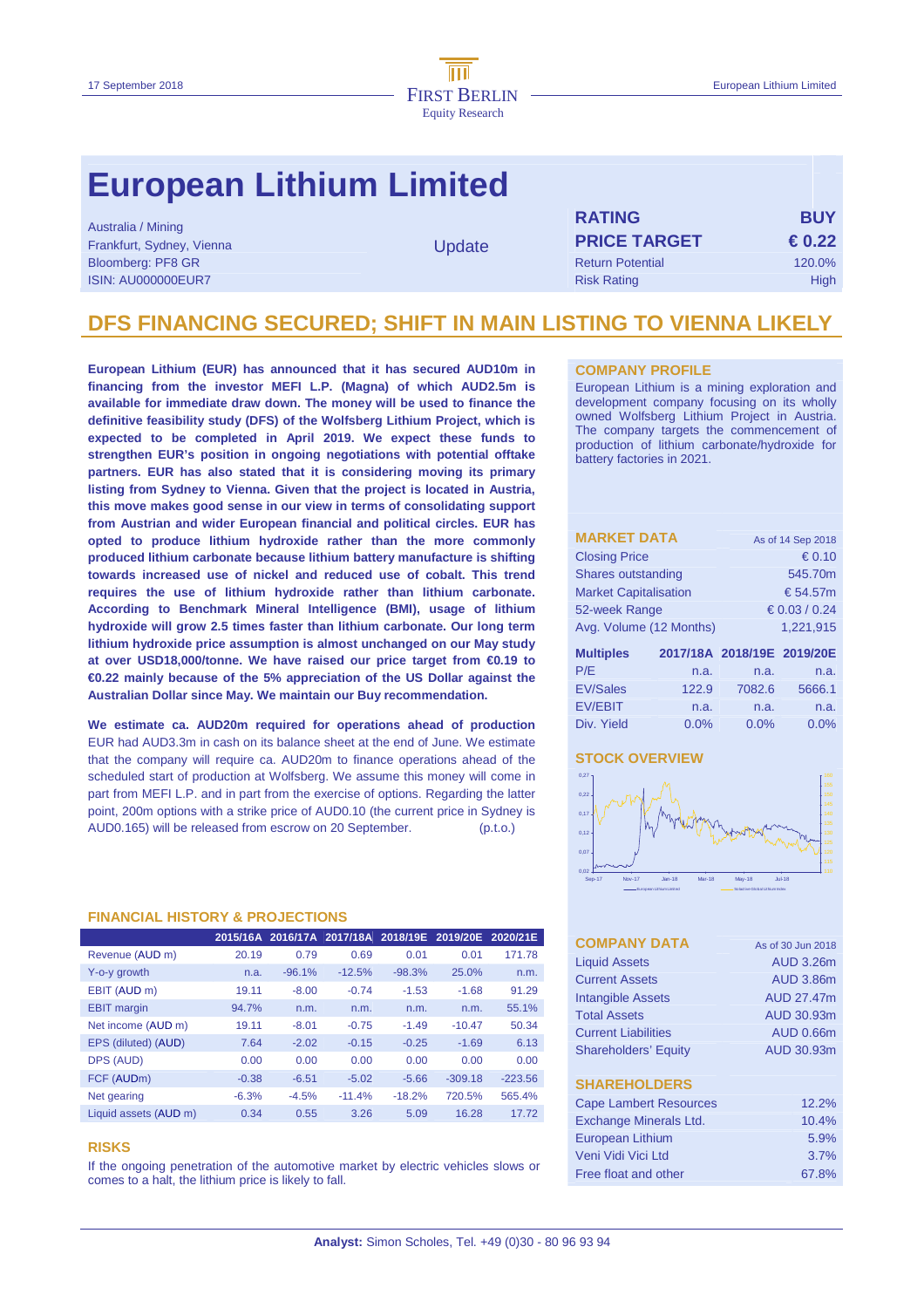# **European Lithium Limited**

Australia / Mining Frankfurt, Sydney, Vienna Bloomberg: PF8 GR ISIN: AU000000EUR7

**Update** 

| <b>RATING</b>           | <b>BUY</b>      |
|-------------------------|-----------------|
| <b>PRICE TARGET</b>     | $\epsilon$ 0.22 |
| <b>Return Potential</b> | 120.0%          |
| <b>Risk Rating</b>      | High            |

### **DFS FINANCING SECURED; SHIFT IN MAIN LISTING TO VIENNA LIKELY**

**European Lithium (EUR) has announced that it has secured AUD10m in financing from the investor MEFI L.P. (Magna) of which AUD2.5m is available for immediate draw down. The money will be used to finance the definitive feasibility study (DFS) of the Wolfsberg Lithium Project, which is expected to be completed in April 2019. We expect these funds to strengthen EUR's position in ongoing negotiations with potential offtake partners. EUR has also stated that it is considering moving its primary listing from Sydney to Vienna. Given that the project is located in Austria, this move makes good sense in our view in terms of consolidating support from Austrian and wider European financial and political circles. EUR has opted to produce lithium hydroxide rather than the more commonly produced lithium carbonate because lithium battery manufacture is shifting towards increased use of nickel and reduced use of cobalt. This trend requires the use of lithium hydroxide rather than lithium carbonate. According to Benchmark Mineral Intelligence (BMI), usage of lithium hydroxide will grow 2.5 times faster than lithium carbonate. Our long term lithium hydroxide price assumption is almost unchanged on our May study at over USD18,000/tonne. We have raised our price target from €0.19 to €0.22 mainly because of the 5% appreciation of the US Dollar against the Australian Dollar since May. We maintain our Buy recommendation.** 

**We estimate ca. AUD20m required for operations ahead of production**  EUR had AUD3.3m in cash on its balance sheet at the end of June. We estimate that the company will require ca. AUD20m to finance operations ahead of the scheduled start of production at Wolfsberg. We assume this money will come in part from MEFI L.P. and in part from the exercise of options. Regarding the latter point, 200m options with a strike price of AUD0.10 (the current price in Sydney is AUD0.165) will be released from escrow on 20 September. (p.t.o.)

#### **FINANCIAL HISTORY & PROJECTIONS**

|                       |         |          | 2015/16A 2016/17A 2017/18A 2018/19E 2019/20E 2020/21E |          |           |           |
|-----------------------|---------|----------|-------------------------------------------------------|----------|-----------|-----------|
| Revenue (AUD m)       | 20.19   | 0.79     | 0.69                                                  | 0.01     | 0.01      | 171.78    |
| Y-o-y growth          | n.a.    | $-96.1%$ | $-12.5%$                                              | $-98.3%$ | 25.0%     | n.m.      |
| EBIT (AUD m)          | 19.11   | $-8.00$  | $-0.74$                                               | $-1.53$  | $-1.68$   | 91.29     |
| <b>EBIT</b> margin    | 94.7%   | n.m.     | n.m.                                                  | n.m.     | n.m.      | 55.1%     |
| Net income (AUD m)    | 19.11   | $-8.01$  | $-0.75$                                               | $-1.49$  | $-10.47$  | 50.34     |
| EPS (diluted) (AUD)   | 7.64    | $-2.02$  | $-0.15$                                               | $-0.25$  | $-1.69$   | 6.13      |
| DPS (AUD)             | 0.00    | 0.00     | 0.00                                                  | 0.00     | 0.00      | 0.00      |
| FCF (AUDm)            | $-0.38$ | $-6.51$  | $-5.02$                                               | $-5.66$  | $-309.18$ | $-223.56$ |
| Net gearing           | $-6.3%$ | $-4.5%$  | $-11.4%$                                              | $-18.2%$ | 720.5%    | 565.4%    |
| Liquid assets (AUD m) | 0.34    | 0.55     | 3.26                                                  | 5.09     | 16.28     | 17.72     |

#### **RISKS**

If the ongoing penetration of the automotive market by electric vehicles slows or comes to a halt, the lithium price is likely to fall.

#### **COMPANY PROFILE**

European Lithium is a mining exploration and development company focusing on its wholly owned Wolfsberg Lithium Project in Austria. The company targets the commencement of production of lithium carbonate/hydroxide for battery factories in 2021.

| <b>MARKET DATA</b>           |       | As of 14 Sep 2018          |             |  |  |  |
|------------------------------|-------|----------------------------|-------------|--|--|--|
| <b>Closing Price</b>         |       | € 0.10                     |             |  |  |  |
| Shares outstanding           |       |                            | 545.70m     |  |  |  |
| <b>Market Capitalisation</b> |       |                            | € 54.57 $m$ |  |  |  |
| 52-week Range                |       | $\epsilon$ 0.03 / 0.24     |             |  |  |  |
| Avg. Volume (12 Months)      |       |                            | 1.221.915   |  |  |  |
| <b>Multiples</b>             |       | 2017/18A 2018/19E 2019/20E |             |  |  |  |
| P/E                          | n.a.  | n.a.                       | n.a.        |  |  |  |
| <b>EV/Sales</b>              | 122.9 | 7082.6                     | 5666.1      |  |  |  |
| <b>EV/EBIT</b>               | n.a.  | n.a.                       | n.a.        |  |  |  |

Div. Yield 0.0% 0.0% 0.0%

#### **STOCK OVERVIEW**



| <b>COMPANY DATA</b>           | As of 30 Jun 2018 |
|-------------------------------|-------------------|
| <b>Liquid Assets</b>          | AUD 3.26m         |
| <b>Current Assets</b>         | AUD 3.86m         |
| <b>Intangible Assets</b>      | AUD 27.47m        |
| <b>Total Assets</b>           | AUD 30.93m        |
| <b>Current Liabilities</b>    | AUD 0.66m         |
| <b>Shareholders' Equity</b>   | AUD 30.93m        |
|                               |                   |
| <b>SHAREHOLDERS</b>           |                   |
| <b>Cape Lambert Resources</b> | 12.2%             |
| Exchange Minerals Ltd.        | 10.4%             |
| <b>European Lithium</b>       | 5.9%              |
| Veni Vidi Vici I td           | 3.7%              |
| Free float and other          | 67.8%             |
|                               |                   |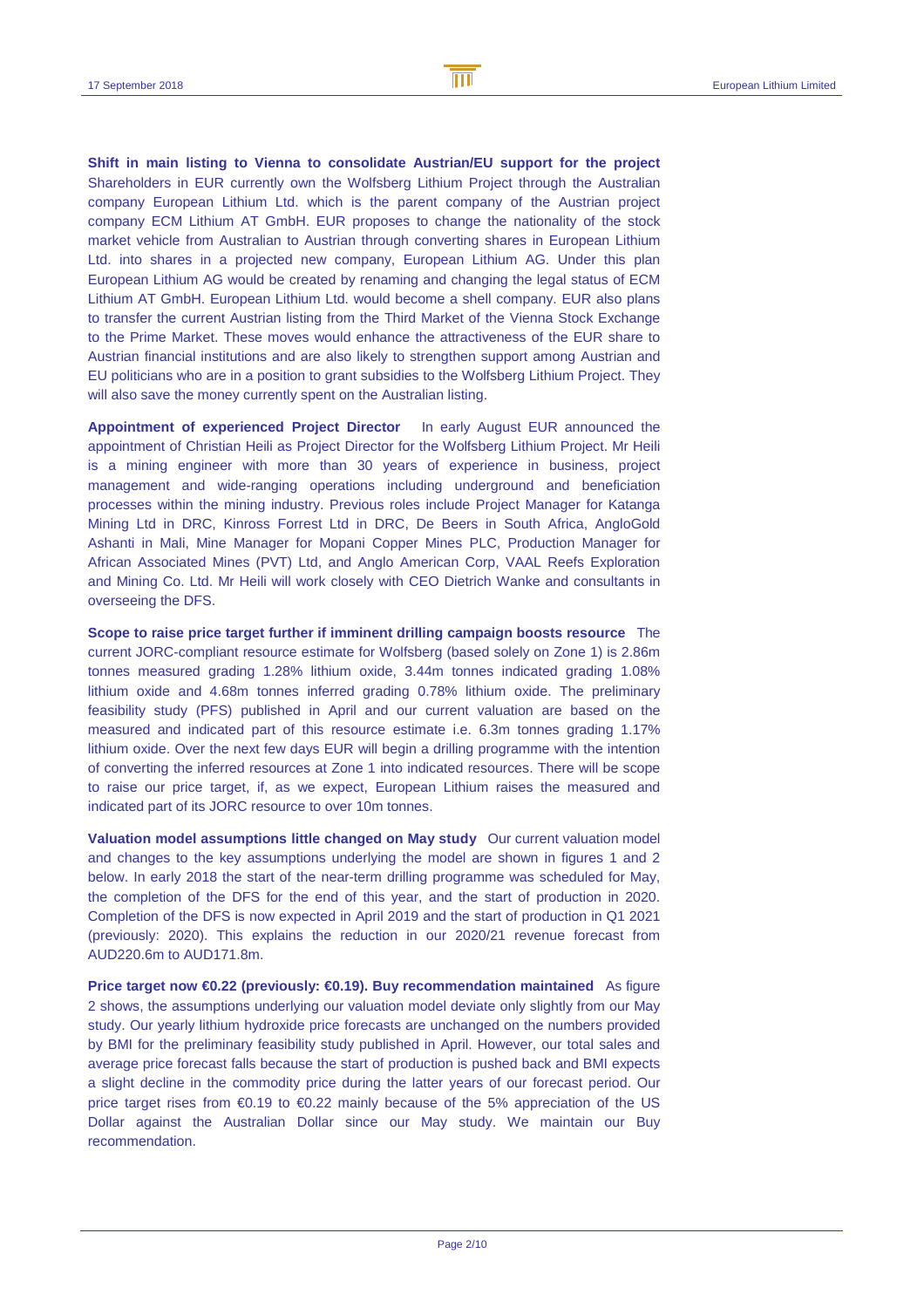**Shift in main listing to Vienna to consolidate Austrian/EU support for the project** Shareholders in EUR currently own the Wolfsberg Lithium Project through the Australian company European Lithium Ltd. which is the parent company of the Austrian project company ECM Lithium AT GmbH. EUR proposes to change the nationality of the stock market vehicle from Australian to Austrian through converting shares in European Lithium Ltd. into shares in a projected new company, European Lithium AG. Under this plan European Lithium AG would be created by renaming and changing the legal status of ECM Lithium AT GmbH. European Lithium Ltd. would become a shell company. EUR also plans to transfer the current Austrian listing from the Third Market of the Vienna Stock Exchange to the Prime Market. These moves would enhance the attractiveness of the EUR share to Austrian financial institutions and are also likely to strengthen support among Austrian and EU politicians who are in a position to grant subsidies to the Wolfsberg Lithium Project. They will also save the money currently spent on the Australian listing.

**Appointment of experienced Project Director** In early August EUR announced the appointment of Christian Heili as Project Director for the Wolfsberg Lithium Project. Mr Heili is a mining engineer with more than 30 years of experience in business, project management and wide-ranging operations including underground and beneficiation processes within the mining industry. Previous roles include Project Manager for Katanga Mining Ltd in DRC, Kinross Forrest Ltd in DRC, De Beers in South Africa, AngloGold Ashanti in Mali, Mine Manager for Mopani Copper Mines PLC, Production Manager for African Associated Mines (PVT) Ltd, and Anglo American Corp, VAAL Reefs Exploration and Mining Co. Ltd. Mr Heili will work closely with CEO Dietrich Wanke and consultants in overseeing the DFS.

**Scope to raise price target further if imminent drilling campaign boosts resource** The current JORC-compliant resource estimate for Wolfsberg (based solely on Zone 1) is 2.86m tonnes measured grading 1.28% lithium oxide, 3.44m tonnes indicated grading 1.08% lithium oxide and 4.68m tonnes inferred grading 0.78% lithium oxide. The preliminary feasibility study (PFS) published in April and our current valuation are based on the measured and indicated part of this resource estimate i.e. 6.3m tonnes grading 1.17% lithium oxide. Over the next few days EUR will begin a drilling programme with the intention of converting the inferred resources at Zone 1 into indicated resources. There will be scope to raise our price target, if, as we expect, European Lithium raises the measured and indicated part of its JORC resource to over 10m tonnes.

**Valuation model assumptions little changed on May study** Our current valuation model and changes to the key assumptions underlying the model are shown in figures 1 and 2 below. In early 2018 the start of the near-term drilling programme was scheduled for May, the completion of the DFS for the end of this year, and the start of production in 2020. Completion of the DFS is now expected in April 2019 and the start of production in Q1 2021 (previously: 2020). This explains the reduction in our 2020/21 revenue forecast from AUD220.6m to AUD171.8m.

**Price target now €0.22 (previously: €0.19). Buy recommendation maintained** As figure 2 shows, the assumptions underlying our valuation model deviate only slightly from our May study. Our yearly lithium hydroxide price forecasts are unchanged on the numbers provided by BMI for the preliminary feasibility study published in April. However, our total sales and average price forecast falls because the start of production is pushed back and BMI expects a slight decline in the commodity price during the latter years of our forecast period. Our price target rises from €0.19 to €0.22 mainly because of the 5% appreciation of the US Dollar against the Australian Dollar since our May study. We maintain our Buy recommendation.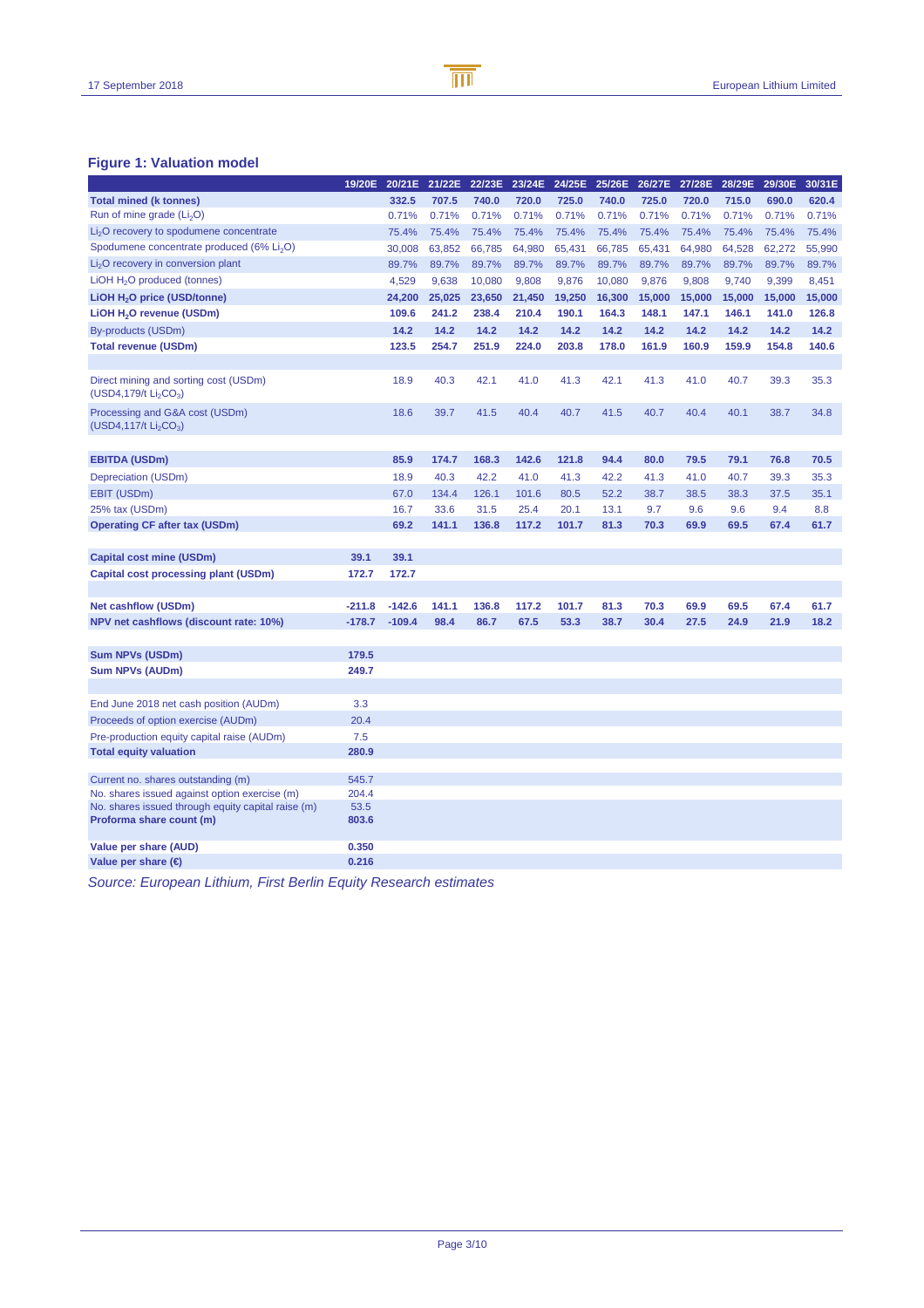### **Figure 1: Valuation model**

|                                                                                        | 19/20E   | 20/21E   | 21/22E | 22/23E |        | 23/24E 24/25E | 25/26E | 26/27E | 27/28E | 28/29E | 29/30E | 30/31E |
|----------------------------------------------------------------------------------------|----------|----------|--------|--------|--------|---------------|--------|--------|--------|--------|--------|--------|
| <b>Total mined (k tonnes)</b>                                                          |          | 332.5    | 707.5  | 740.0  | 720.0  | 725.0         | 740.0  | 725.0  | 720.0  | 715.0  | 690.0  | 620.4  |
| Run of mine grade $(Li2O)$                                                             |          | 0.71%    | 0.71%  | 0.71%  | 0.71%  | 0.71%         | 0.71%  | 0.71%  | 0.71%  | 0.71%  | 0.71%  | 0.71%  |
| Li <sub>2</sub> O recovery to spodumene concentrate                                    |          | 75.4%    | 75.4%  | 75.4%  | 75.4%  | 75.4%         | 75.4%  | 75.4%  | 75.4%  | 75.4%  | 75.4%  | 75.4%  |
| Spodumene concentrate produced (6% Li <sub>2</sub> O)                                  |          | 30,008   | 63,852 | 66,785 | 64,980 | 65,431        | 66,785 | 65,431 | 64,980 | 64,528 | 62,272 | 55,990 |
| $Li2O$ recovery in conversion plant                                                    |          | 89.7%    | 89.7%  | 89.7%  | 89.7%  | 89.7%         | 89.7%  | 89.7%  | 89.7%  | 89.7%  | 89.7%  | 89.7%  |
| LiOH H <sub>2</sub> O produced (tonnes)                                                |          | 4,529    | 9,638  | 10,080 | 9,808  | 9,876         | 10,080 | 9,876  | 9,808  | 9,740  | 9,399  | 8,451  |
| LIOH H <sub>2</sub> O price (USD/tonne)                                                |          | 24,200   | 25,025 | 23,650 | 21,450 | 19,250        | 16,300 | 15,000 | 15,000 | 15,000 | 15,000 | 15,000 |
| LIOH H <sub>2</sub> O revenue (USDm)                                                   |          | 109.6    | 241.2  | 238.4  | 210.4  | 190.1         | 164.3  | 148.1  | 147.1  | 146.1  | 141.0  | 126.8  |
| By-products (USDm)                                                                     |          | 14.2     | 14.2   | 14.2   | 14.2   | 14.2          | 14.2   | 14.2   | 14.2   | 14.2   | 14.2   | 14.2   |
| <b>Total revenue (USDm)</b>                                                            |          | 123.5    | 254.7  | 251.9  | 224.0  | 203.8         | 178.0  | 161.9  | 160.9  | 159.9  | 154.8  | 140.6  |
|                                                                                        |          |          |        |        |        |               |        |        |        |        |        |        |
| Direct mining and sorting cost (USDm)<br>(USD4,179/t Li <sub>2</sub> CO <sub>3</sub> ) |          | 18.9     | 40.3   | 42.1   | 41.0   | 41.3          | 42.1   | 41.3   | 41.0   | 40.7   | 39.3   | 35.3   |
| Processing and G&A cost (USDm)<br>$(USD4, 117/t Li_2CO_3)$                             |          | 18.6     | 39.7   | 41.5   | 40.4   | 40.7          | 41.5   | 40.7   | 40.4   | 40.1   | 38.7   | 34.8   |
|                                                                                        |          |          |        |        |        |               |        |        |        |        |        |        |
| <b>EBITDA (USDm)</b>                                                                   |          | 85.9     | 174.7  | 168.3  | 142.6  | 121.8         | 94.4   | 80.0   | 79.5   | 79.1   | 76.8   | 70.5   |
| Depreciation (USDm)                                                                    |          | 18.9     | 40.3   | 42.2   | 41.0   | 41.3          | 42.2   | 41.3   | 41.0   | 40.7   | 39.3   | 35.3   |
| EBIT (USDm)                                                                            |          | 67.0     | 134.4  | 126.1  | 101.6  | 80.5          | 52.2   | 38.7   | 38.5   | 38.3   | 37.5   | 35.1   |
| 25% tax (USDm)                                                                         |          | 16.7     | 33.6   | 31.5   | 25.4   | 20.1          | 13.1   | 9.7    | 9.6    | 9.6    | 9.4    | 8.8    |
| <b>Operating CF after tax (USDm)</b>                                                   |          | 69.2     | 141.1  | 136.8  | 117.2  | 101.7         | 81.3   | 70.3   | 69.9   | 69.5   | 67.4   | 61.7   |
|                                                                                        |          |          |        |        |        |               |        |        |        |        |        |        |
| <b>Capital cost mine (USDm)</b>                                                        | 39.1     | 39.1     |        |        |        |               |        |        |        |        |        |        |
| Capital cost processing plant (USDm)                                                   | 172.7    | 172.7    |        |        |        |               |        |        |        |        |        |        |
| <b>Net cashflow (USDm)</b>                                                             | $-211.8$ | $-142.6$ | 141.1  | 136.8  | 117.2  | 101.7         | 81.3   | 70.3   | 69.9   | 69.5   | 67.4   | 61.7   |
| NPV net cashflows (discount rate: 10%)                                                 | $-178.7$ | $-109.4$ | 98.4   | 86.7   | 67.5   | 53.3          | 38.7   | 30.4   | 27.5   | 24.9   | 21.9   | 18.2   |
|                                                                                        |          |          |        |        |        |               |        |        |        |        |        |        |
| <b>Sum NPVs (USDm)</b>                                                                 | 179.5    |          |        |        |        |               |        |        |        |        |        |        |
| <b>Sum NPVs (AUDm)</b>                                                                 | 249.7    |          |        |        |        |               |        |        |        |        |        |        |
|                                                                                        |          |          |        |        |        |               |        |        |        |        |        |        |
| End June 2018 net cash position (AUDm)                                                 | 3.3      |          |        |        |        |               |        |        |        |        |        |        |
| Proceeds of option exercise (AUDm)                                                     | 20.4     |          |        |        |        |               |        |        |        |        |        |        |
| Pre-production equity capital raise (AUDm)                                             | 7.5      |          |        |        |        |               |        |        |        |        |        |        |
| <b>Total equity valuation</b>                                                          | 280.9    |          |        |        |        |               |        |        |        |        |        |        |
|                                                                                        |          |          |        |        |        |               |        |        |        |        |        |        |
| Current no. shares outstanding (m)                                                     | 545.7    |          |        |        |        |               |        |        |        |        |        |        |
| No. shares issued against option exercise (m)                                          | 204.4    |          |        |        |        |               |        |        |        |        |        |        |
| No. shares issued through equity capital raise (m)                                     | 53.5     |          |        |        |        |               |        |        |        |        |        |        |
| Proforma share count (m)                                                               | 803.6    |          |        |        |        |               |        |        |        |        |        |        |
| Value per share (AUD)                                                                  | 0.350    |          |        |        |        |               |        |        |        |        |        |        |
| Value per share $(\epsilon)$                                                           | 0.216    |          |        |        |        |               |        |        |        |        |        |        |

Source: European Lithium, First Berlin Equity Research estimates

B

 $\overline{\mathbb{m}}$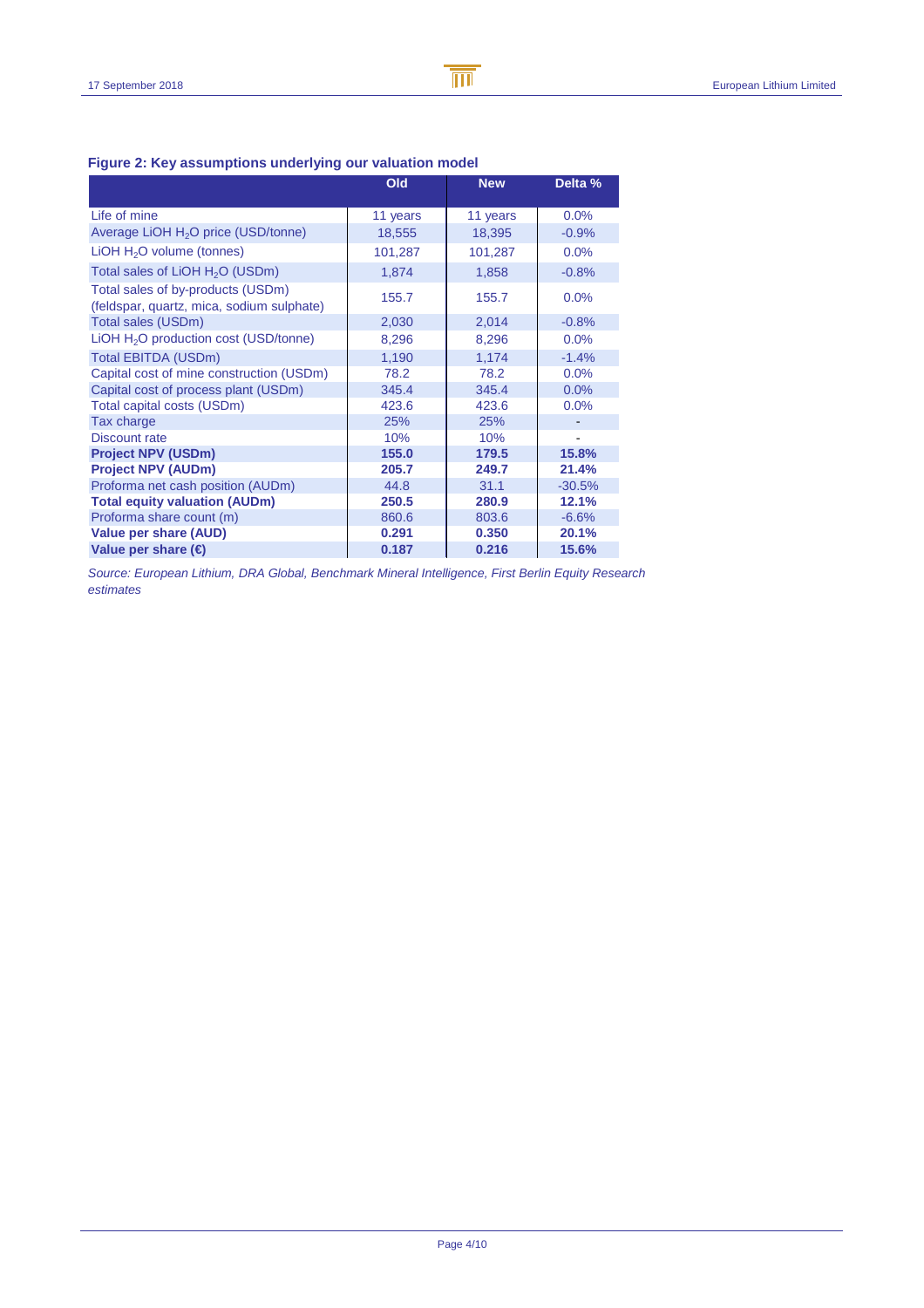B

 $\overline{\mathbb{m}}$ 

| $\sim$ 1900 - 1900 account public and change out valuation model               |          |            |          |  |
|--------------------------------------------------------------------------------|----------|------------|----------|--|
|                                                                                | Old      | <b>New</b> | Delta %  |  |
| Life of mine                                                                   | 11 years | 11 years   | 0.0%     |  |
| Average LiOH H <sub>2</sub> O price (USD/tonne)                                | 18,555   | 18,395     | $-0.9%$  |  |
| LIOH $H2O$ volume (tonnes)                                                     | 101,287  | 101,287    | 0.0%     |  |
| Total sales of LiOH H <sub>2</sub> O (USDm)                                    | 1,874    | 1,858      | $-0.8%$  |  |
| Total sales of by-products (USDm)<br>(feldspar, quartz, mica, sodium sulphate) | 155.7    | 155.7      | 0.0%     |  |
| Total sales (USDm)                                                             | 2,030    | 2,014      | $-0.8%$  |  |
| LiOH H <sub>2</sub> O production cost (USD/tonne)                              | 8,296    | 8,296      | 0.0%     |  |
| Total EBITDA (USDm)                                                            | 1,190    | 1,174      | $-1.4%$  |  |
| Capital cost of mine construction (USDm)                                       | 78.2     | 78.2       | 0.0%     |  |
| Capital cost of process plant (USDm)                                           | 345.4    | 345.4      | 0.0%     |  |
| Total capital costs (USDm)                                                     | 423.6    | 423.6      | 0.0%     |  |
| Tax charge                                                                     | 25%      | 25%        |          |  |
| <b>Discount rate</b>                                                           | 10%      | 10%        |          |  |
| <b>Project NPV (USDm)</b>                                                      | 155.0    | 179.5      | 15.8%    |  |
| <b>Project NPV (AUDm)</b>                                                      | 205.7    | 249.7      | 21.4%    |  |
| Proforma net cash position (AUDm)                                              | 44.8     | 31.1       | $-30.5%$ |  |
| <b>Total equity valuation (AUDm)</b>                                           | 250.5    | 280.9      | 12.1%    |  |
| Proforma share count (m)                                                       | 860.6    | 803.6      | $-6.6%$  |  |
| <b>Value per share (AUD)</b>                                                   | 0.291    | 0.350      | 20.1%    |  |
| Value per share $(\epsilon)$                                                   | 0.187    | 0.216      | 15.6%    |  |

### **Figure 2: Key assumptions underlying our valuation model**

Source: European Lithium, DRA Global, Benchmark Mineral Intelligence, First Berlin Equity Research estimates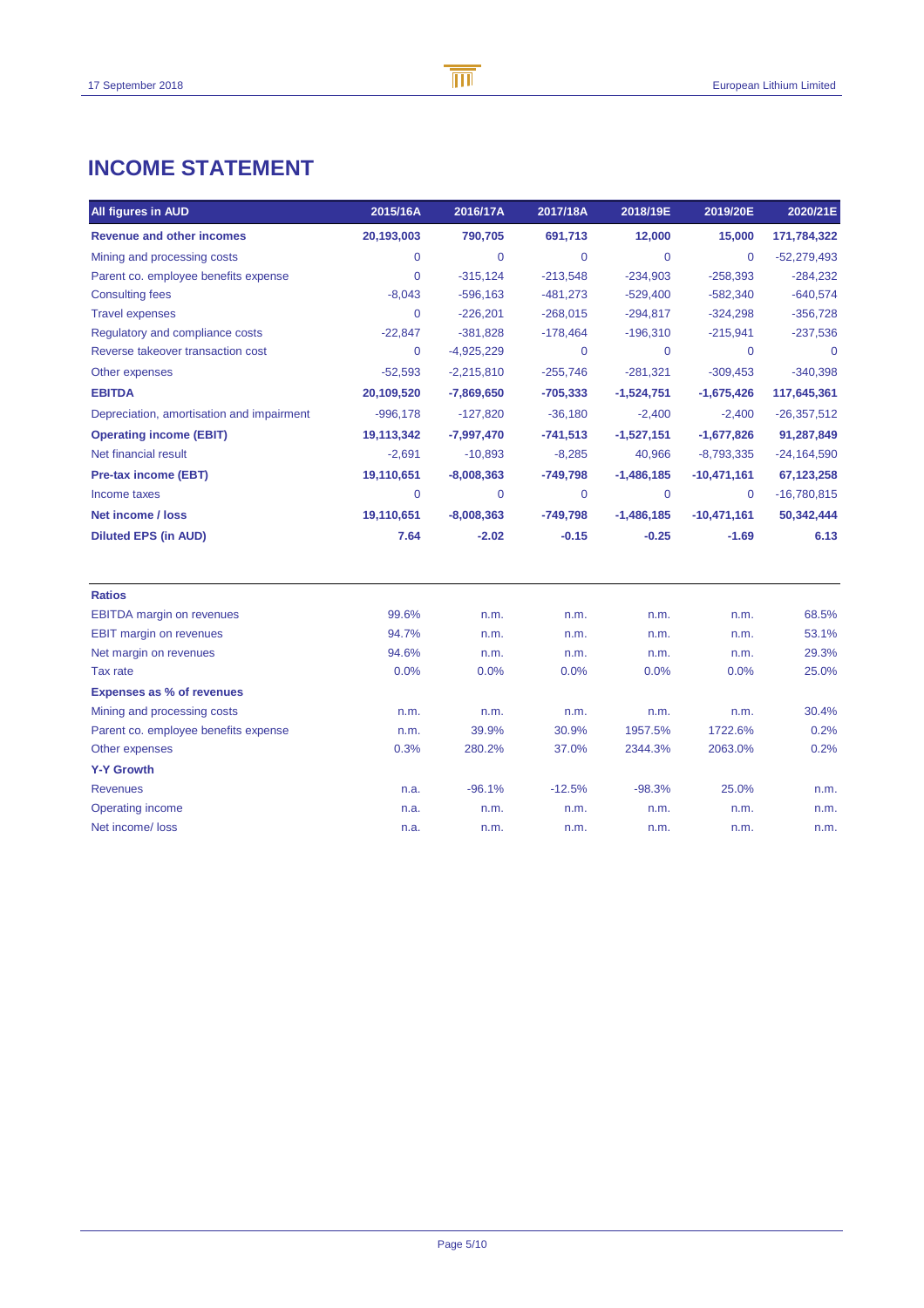## **INCOME STATEMENT**

| All figures in AUD                        | 2015/16A    | 2016/17A     | 2017/18A    | 2018/19E       | 2019/20E      | 2020/21E      |
|-------------------------------------------|-------------|--------------|-------------|----------------|---------------|---------------|
| <b>Revenue and other incomes</b>          | 20,193,003  | 790,705      | 691,713     | 12,000         | 15,000        | 171,784,322   |
| Mining and processing costs               | $\mathbf 0$ | $\mathbf 0$  | $\mathbf 0$ | $\mathbf 0$    | $\mathbf 0$   | $-52,279,493$ |
| Parent co. employee benefits expense      | $\mathbf 0$ | $-315,124$   | $-213,548$  | $-234,903$     | $-258,393$    | $-284,232$    |
| <b>Consulting fees</b>                    | $-8,043$    | $-596,163$   | $-481,273$  | $-529,400$     | $-582,340$    | $-640,574$    |
| <b>Travel expenses</b>                    | $\Omega$    | $-226,201$   | $-268,015$  | $-294,817$     | $-324,298$    | $-356,728$    |
| Regulatory and compliance costs           | $-22,847$   | $-381,828$   | $-178,464$  | $-196,310$     | $-215,941$    | $-237,536$    |
| Reverse takeover transaction cost         | 0           | $-4,925,229$ | $\mathbf 0$ | $\mathbf 0$    | $\mathbf 0$   | $\mathbf 0$   |
| Other expenses                            | $-52,593$   | $-2,215,810$ | $-255,746$  | $-281,321$     | $-309,453$    | $-340,398$    |
| <b>EBITDA</b>                             | 20,109,520  | $-7,869,650$ | $-705,333$  | $-1,524,751$   | $-1,675,426$  | 117,645,361   |
| Depreciation, amortisation and impairment | $-996,178$  | $-127,820$   | $-36,180$   | $-2,400$       | $-2,400$      | $-26,357,512$ |
| <b>Operating income (EBIT)</b>            | 19,113,342  | $-7,997,470$ | $-741,513$  | $-1,527,151$   | $-1,677,826$  | 91,287,849    |
| Net financial result                      | $-2,691$    | $-10,893$    | $-8,285$    | 40,966         | $-8,793,335$  | $-24,164,590$ |
| <b>Pre-tax income (EBT)</b>               | 19,110,651  | $-8,008,363$ | $-749,798$  | $-1,486,185$   | $-10,471,161$ | 67,123,258    |
| Income taxes                              | $\mathbf 0$ | $\mathbf 0$  | $\mathbf 0$ | $\overline{0}$ | $\mathbf 0$   | $-16,780,815$ |
| <b>Net income / loss</b>                  | 19,110,651  | $-8,008,363$ | $-749,798$  | $-1,486,185$   | $-10,471,161$ | 50,342,444    |
| <b>Diluted EPS (in AUD)</b>               | 7.64        | $-2.02$      | $-0.15$     | $-0.25$        | $-1.69$       | 6.13          |
| <b>Ratios</b>                             |             |              |             |                |               |               |
| <b>EBITDA</b> margin on revenues          | 99.6%       | n.m.         | n.m.        | n.m.           | n.m.          | 68.5%         |
| <b>EBIT margin on revenues</b>            | 94.7%       | n.m.         | n.m.        | n.m.           | n.m.          | 53.1%         |
| Net margin on revenues                    | 94.6%       | n.m.         | n.m.        | n.m.           | n.m.          | 29.3%         |
| Tax rate                                  | 0.0%        | 0.0%         | 0.0%        | 0.0%           | 0.0%          | 25.0%         |
| <b>Expenses as % of revenues</b>          |             |              |             |                |               |               |
| Mining and processing costs               | n.m.        | n.m.         | n.m.        | n.m.           | n.m.          | 30.4%         |
| Parent co. employee benefits expense      | n.m.        | 39.9%        | 30.9%       | 1957.5%        | 1722.6%       | 0.2%          |
| Other expenses                            | 0.3%        | 280.2%       | 37.0%       | 2344.3%        | 2063.0%       | 0.2%          |
| <b>Y-Y Growth</b>                         |             |              |             |                |               |               |
| <b>Revenues</b>                           | n.a.        | $-96.1%$     | $-12.5%$    | $-98.3%$       | 25.0%         | n.m.          |
| Operating income                          | n.a.        | n.m.         | n.m.        | n.m.           | n.m.          | n.m.          |
| Net income/ loss                          | n.a.        | n.m.         | n.m.        | n.m.           | n.m.          | n.m.          |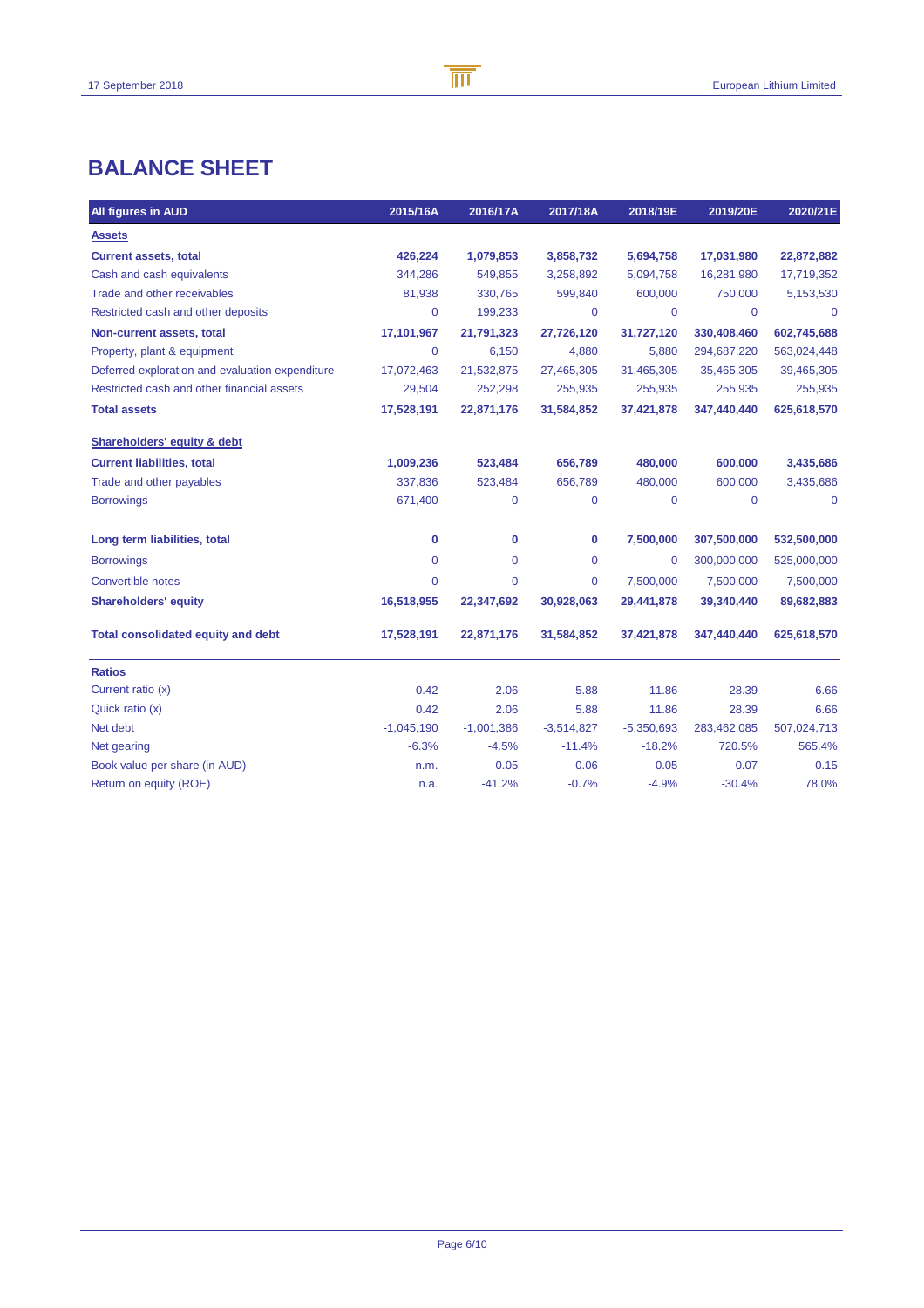## **BALANCE SHEET**

| All figures in AUD                              | 2015/16A     | 2016/17A     | 2017/18A     | 2018/19E       | 2019/20E    | 2020/21E    |
|-------------------------------------------------|--------------|--------------|--------------|----------------|-------------|-------------|
| <b>Assets</b>                                   |              |              |              |                |             |             |
| <b>Current assets, total</b>                    | 426,224      | 1,079,853    | 3,858,732    | 5,694,758      | 17,031,980  | 22,872,882  |
| Cash and cash equivalents                       | 344,286      | 549,855      | 3,258,892    | 5,094,758      | 16,281,980  | 17,719,352  |
| Trade and other receivables                     | 81,938       | 330,765      | 599,840      | 600,000        | 750,000     | 5,153,530   |
| Restricted cash and other deposits              | 0            | 199,233      | $\mathbf 0$  | $\mathbf 0$    | 0           | $\mathbf 0$ |
| Non-current assets, total                       | 17,101,967   | 21,791,323   | 27,726,120   | 31,727,120     | 330,408,460 | 602,745,688 |
| Property, plant & equipment                     | 0            | 6,150        | 4,880        | 5,880          | 294,687,220 | 563,024,448 |
| Deferred exploration and evaluation expenditure | 17,072,463   | 21,532,875   | 27,465,305   | 31,465,305     | 35,465,305  | 39,465,305  |
| Restricted cash and other financial assets      | 29,504       | 252,298      | 255,935      | 255,935        | 255,935     | 255,935     |
| <b>Total assets</b>                             | 17,528,191   | 22,871,176   | 31,584,852   | 37,421,878     | 347,440,440 | 625,618,570 |
| Shareholders' equity & debt                     |              |              |              |                |             |             |
| <b>Current liabilities, total</b>               | 1,009,236    | 523,484      | 656,789      | 480,000        | 600,000     | 3,435,686   |
| Trade and other payables                        | 337,836      | 523,484      | 656,789      | 480,000        | 600,000     | 3,435,686   |
| <b>Borrowings</b>                               | 671,400      | 0            | $\mathbf 0$  | $\mathbf 0$    | $\mathbf 0$ | $\mathbf 0$ |
| Long term liabilities, total                    | 0            | 0            | 0            | 7,500,000      | 307,500,000 | 532,500,000 |
| <b>Borrowings</b>                               | 0            | 0            | 0            | $\overline{0}$ | 300,000,000 | 525,000,000 |
| Convertible notes                               | 0            | 0            | $\mathbf 0$  | 7,500,000      | 7,500,000   | 7,500,000   |
| <b>Shareholders' equity</b>                     | 16,518,955   | 22,347,692   | 30,928,063   | 29,441,878     | 39,340,440  | 89,682,883  |
| <b>Total consolidated equity and debt</b>       | 17,528,191   | 22,871,176   | 31,584,852   | 37,421,878     | 347,440,440 | 625,618,570 |
| <b>Ratios</b>                                   |              |              |              |                |             |             |
| Current ratio (x)                               | 0.42         | 2.06         | 5.88         | 11.86          | 28.39       | 6.66        |
| Quick ratio (x)                                 | 0.42         | 2.06         | 5.88         | 11.86          | 28.39       | 6.66        |
| Net debt                                        | $-1,045,190$ | $-1,001,386$ | $-3,514,827$ | $-5,350,693$   | 283,462,085 | 507,024,713 |
| Net gearing                                     | $-6.3%$      | $-4.5%$      | $-11.4%$     | $-18.2%$       | 720.5%      | 565.4%      |
| Book value per share (in AUD)                   | n.m.         | 0.05         | 0.06         | 0.05           | 0.07        | 0.15        |
| Return on equity (ROE)                          | n.a.         | $-41.2%$     | $-0.7%$      | $-4.9%$        | $-30.4%$    | 78.0%       |

B

 $\overline{\mathbb{m}}$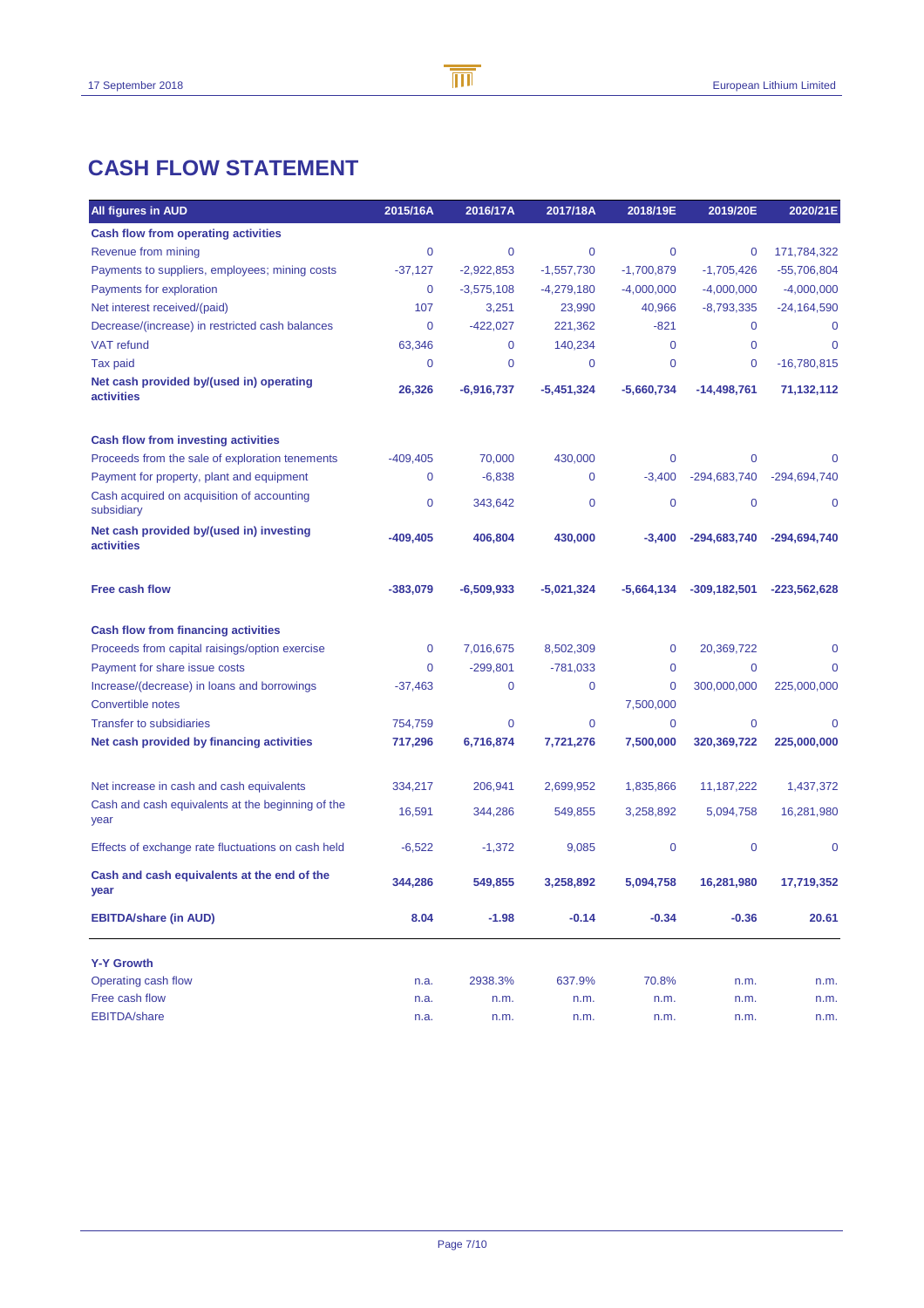## **CASH FLOW STATEMENT**

| All figures in AUD                                        | 2015/16A    | 2016/17A       | 2017/18A       | 2018/19E     | 2019/20E         | 2020/21E       |
|-----------------------------------------------------------|-------------|----------------|----------------|--------------|------------------|----------------|
| <b>Cash flow from operating activities</b>                |             |                |                |              |                  |                |
| Revenue from mining                                       | 0           | $\overline{0}$ | $\overline{0}$ | 0            | 0                | 171,784,322    |
| Payments to suppliers, employees; mining costs            | $-37,127$   | $-2,922,853$   | $-1,557,730$   | $-1,700,879$ | $-1,705,426$     | $-55,706,804$  |
| Payments for exploration                                  | $\mathbf 0$ | $-3,575,108$   | $-4,279,180$   | $-4,000,000$ | $-4,000,000$     | $-4,000,000$   |
| Net interest received/(paid)                              | 107         | 3,251          | 23,990         | 40,966       | $-8,793,335$     | $-24,164,590$  |
| Decrease/(increase) in restricted cash balances           | 0           | $-422,027$     | 221,362        | -821         | 0                | 0              |
| <b>VAT</b> refund                                         | 63,346      | $\mathbf 0$    | 140,234        | 0            | 0                | $\mathbf 0$    |
| Tax paid                                                  | 0           | 0              | 0              | 0            | 0                | $-16,780,815$  |
| Net cash provided by/(used in) operating<br>activities    | 26,326      | $-6,916,737$   | $-5,451,324$   | $-5,660,734$ | -14,498,761      | 71,132,112     |
| <b>Cash flow from investing activities</b>                |             |                |                |              |                  |                |
| Proceeds from the sale of exploration tenements           | $-409,405$  | 70,000         | 430,000        | 0            | 0                | 0              |
| Payment for property, plant and equipment                 | 0           | $-6,838$       | 0              | $-3,400$     | -294,683,740     | $-294,694,740$ |
| Cash acquired on acquisition of accounting<br>subsidiary  | 0           | 343,642        | 0              | 0            | $\mathbf 0$      | 0              |
| Net cash provided by/(used in) investing<br>activities    | $-409,405$  | 406,804        | 430,000        | $-3,400$     | -294,683,740     | -294,694,740   |
| Free cash flow                                            | $-383,079$  | $-6,509,933$   | $-5,021,324$   | $-5,664,134$ | $-309, 182, 501$ | $-223,562,628$ |
| <b>Cash flow from financing activities</b>                |             |                |                |              |                  |                |
| Proceeds from capital raisings/option exercise            | 0           | 7,016,675      | 8,502,309      | 0            | 20,369,722       | 0              |
| Payment for share issue costs                             | 0           | $-299,801$     | $-781,033$     | 0            | 0                | $\mathbf 0$    |
| Increase/(decrease) in loans and borrowings               | $-37,463$   | $\mathbf 0$    | $\overline{0}$ | 0            | 300,000,000      | 225,000,000    |
| <b>Convertible notes</b>                                  |             |                |                | 7,500,000    |                  |                |
| <b>Transfer to subsidiaries</b>                           | 754,759     | $\overline{0}$ | $\overline{0}$ | 0            | 0                | $\mathbf 0$    |
| Net cash provided by financing activities                 | 717,296     | 6,716,874      | 7,721,276      | 7,500,000    | 320,369,722      | 225,000,000    |
| Net increase in cash and cash equivalents                 | 334,217     | 206,941        | 2,699,952      | 1,835,866    | 11, 187, 222     | 1,437,372      |
| Cash and cash equivalents at the beginning of the<br>year | 16,591      | 344,286        | 549,855        | 3,258,892    | 5,094,758        | 16,281,980     |
| Effects of exchange rate fluctuations on cash held        | $-6,522$    | $-1,372$       | 9,085          | 0            | 0                | 0              |
| Cash and cash equivalents at the end of the<br>year       | 344,286     | 549,855        | 3,258,892      | 5,094,758    | 16,281,980       | 17,719,352     |
| <b>EBITDA/share (in AUD)</b>                              | 8.04        | $-1.98$        | $-0.14$        | $-0.34$      | $-0.36$          | 20.61          |
| <b>Y-Y Growth</b>                                         |             |                |                |              |                  |                |
| Operating cash flow                                       | n.a.        | 2938.3%        | 637.9%         | 70.8%        | n.m.             | n.m.           |
| Free cash flow                                            | n.a.        | n.m.           | n.m.           | n.m.         | n.m.             | n.m.           |
| <b>EBITDA/share</b>                                       | n.a.        | n.m.           | n.m.           | n.m.         | n.m.             | n.m.           |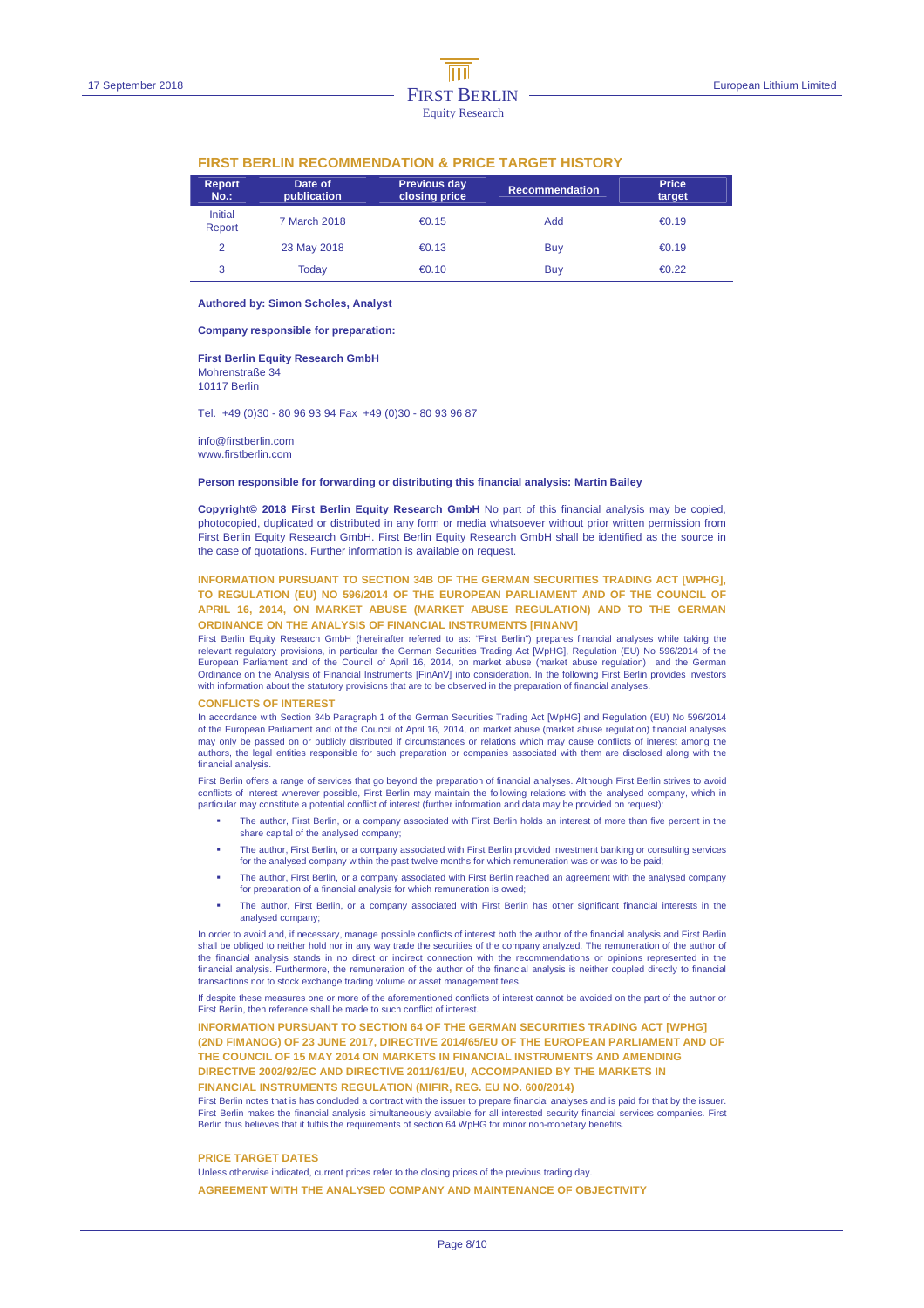|                          | FINOT DENLIN NEGOMMENDATION & FNIGE TANGET FIIOTONT |                               |                       |                        |  |  |  |
|--------------------------|-----------------------------------------------------|-------------------------------|-----------------------|------------------------|--|--|--|
| <b>Report</b><br>$No.$ : | Date of<br>publication                              | Previous day<br>closing price | <b>Recommendation</b> | <b>Price</b><br>target |  |  |  |
| Initial<br>Report        | 7 March 2018                                        | €0.15                         | Add                   | €0.19                  |  |  |  |
| 2                        | 23 May 2018                                         | €0.13                         | Buy                   | € $0.19$               |  |  |  |
| 3                        | Todav                                               | €0.10                         | Buy                   | €0.22                  |  |  |  |

#### **FIRST BERLIN RECOMMENDATION & PRICE TARGET HISTORY**

#### **Authored by: Simon Scholes, Analyst**

**Company responsible for preparation:** 

#### **First Berlin Equity Research GmbH**  Mohrenstraße 34

10117 Berlin

Tel. +49 (0)30 - 80 96 93 94 Fax +49 (0)30 - 80 93 96 87

info@firstberlin.com www.firstberlin.com

#### **Person responsible for forwarding or distributing this financial analysis: Martin Bailey**

**Copyright© 2018 First Berlin Equity Research GmbH** No part of this financial analysis may be copied, photocopied, duplicated or distributed in any form or media whatsoever without prior written permission from First Berlin Equity Research GmbH. First Berlin Equity Research GmbH shall be identified as the source in the case of quotations. Further information is available on request.

#### **INFORMATION PURSUANT TO SECTION 34B OF THE GERMAN SECURITIES TRADING ACT [WPHG], TO REGULATION (EU) NO 596/2014 OF THE EUROPEAN PARLIAMENT AND OF THE COUNCIL OF APRIL 16, 2014, ON MARKET ABUSE (MARKET ABUSE REGULATION) AND TO THE GERMAN ORDINANCE ON THE ANALYSIS OF FINANCIAL INSTRUMENTS [FINANV]**

First Berlin Equity Research GmbH (hereinafter referred to as: "First Berlin") prepares financial analyses while taking the relevant regulatory provisions, in particular the German Securities Trading Act [WpHG], Regulation (EU) No 596/2014 of the European Parliament and of the Council of April 16, 2014, on market abuse (market abuse regulation) and the German Ordinance on the Analysis of Financial Instruments [FinAnV] into consideration. In the following First Berlin provides investors with information about the statutory provisions that are to be observed in the preparation of financial analyses.

#### **CONFLICTS OF INTEREST**

In accordance with Section 34b Paragraph 1 of the German Securities Trading Act [WpHG] and Regulation (EU) No 596/2014<br>of the European Parliament and of the Council of April 16, 2014, on market abuse (market abuse regulati may only be passed on or publicly distributed if circumstances or relations which may cause conflicts of interest among the authors, the legal entities responsible for such preparation or companies associated with them are disclosed along with the financial analysis.

First Berlin offers a range of services that go beyond the preparation of financial analyses. Although First Berlin strives to avoid conflicts of interest wherever possible, First Berlin may maintain the following relations with the analysed company, which in particular may constitute a potential conflict of interest (further information and data may be provided on request):

- The author, First Berlin, or a company associated with First Berlin holds an interest of more than five percent in the share capital of the analysed company;
- The author, First Berlin, or a company associated with First Berlin provided investment banking or consulting services for the analysed company within the past twelve months for which remuneration was or was to be paid;
- The author, First Berlin, or a company associated with First Berlin reached an agreement with the analysed company for preparation of a financial analysis for which remuneration is owed;
- The author, First Berlin, or a company associated with First Berlin has other significant financial interests in the analysed company;

In order to avoid and, if necessary, manage possible conflicts of interest both the author of the financial analysis and First Berlin shall be obliged to neither hold nor in any way trade the securities of the company analyzed. The remuneration of the author of the financial analysis stands in no direct or indirect connection with the recommendations or opinions represented in the financial analysis. Furthermore, the remuneration of the author of the financial analysis is neither coupled directly to financial transactions nor to stock exchange trading volume or asset management fees.

If despite these measures one or more of the aforementioned conflicts of interest cannot be avoided on the part of the author or First Berlin, then reference shall be made to such conflict of interest.

**INFORMATION PURSUANT TO SECTION 64 OF THE GERMAN SECURITIES TRADING ACT IWPHGI (2ND FIMANOG) OF 23 JUNE 2017, DIRECTIVE 2014/65/EU OF THE EUROPEAN PARLIAMENT AND OF THE COUNCIL OF 15 MAY 2014 ON MARKETS IN FINANCIAL INSTRUMENTS AND AMENDING DIRECTIVE 2002/92/EC AND DIRECTIVE 2011/61/EU, ACCOMPANIED BY THE MARKETS IN FINANCIAL INSTRUMENTS REGULATION (MIFIR, REG. EU NO. 600/2014)** 

First Berlin notes that is has concluded a contract with the issuer to prepare financial analyses and is paid for that by the issuer.<br>First Berlin makes the financial analysis simultaneously available for all interested se Berlin thus believes that it fulfils the requirements of section 64 WpHG for minor non-monetary benefits.

#### **PRICE TARGET DATES**

Unless otherwise indicated, current prices refer to the closing prices of the previous trading day. **AGREEMENT WITH THE ANALYSED COMPANY AND MAINTENANCE OF OBJECTIVITY**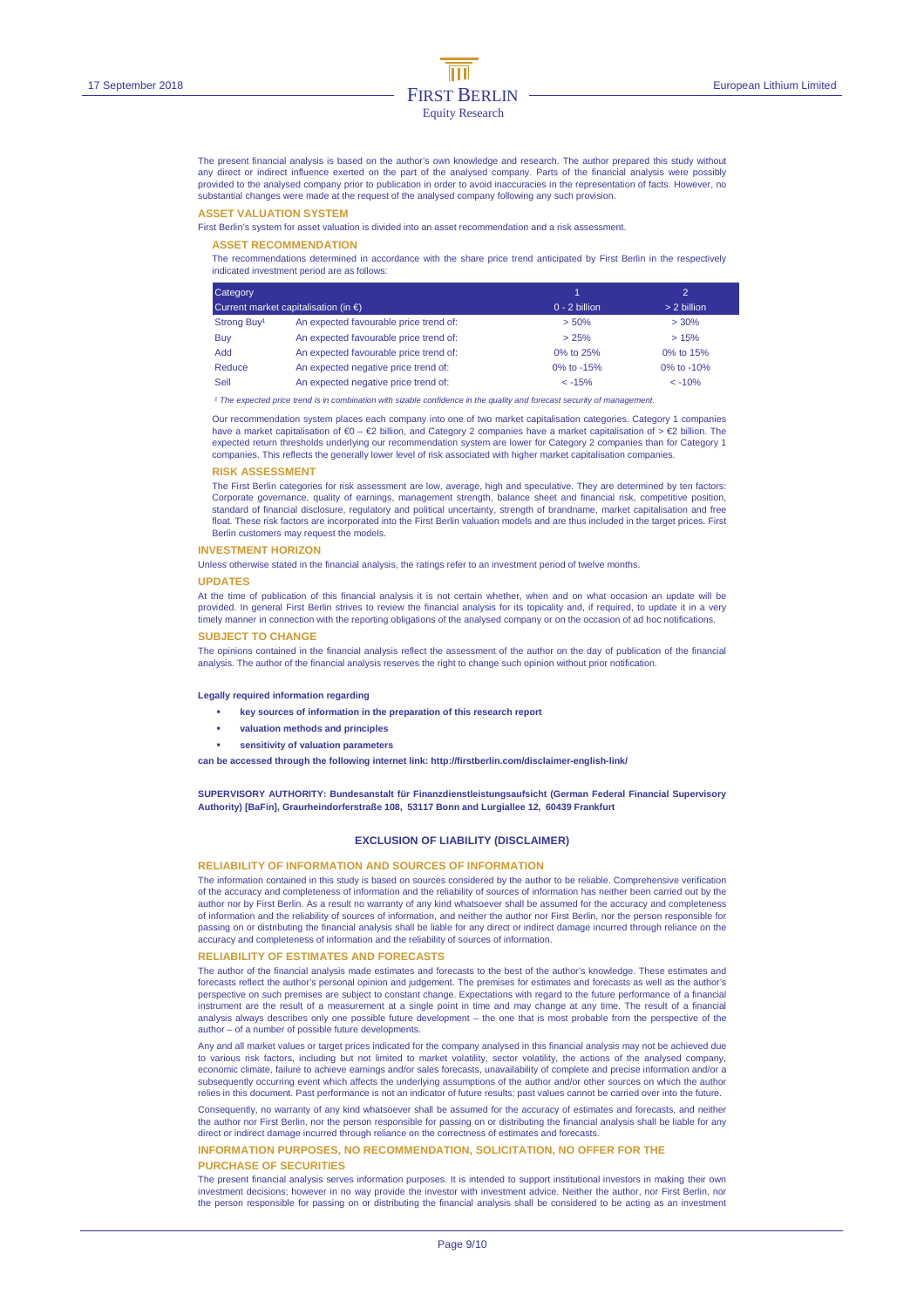The present financial analysis is based on the author's own knowledge and research. The author prepared this study without any direct or indirect influence exerted on the part of the analysed company. Parts of the financial analysis were possibly<br>provided to the analysed company prior to publication in order to avoid inaccuracies in the repres substantial changes were made at the request of the analysed company following any such provision.

#### **ASSET VALUATION SYSTEM**

First Berlin's system for asset valuation is divided into an asset recommendation and a risk assessment.

#### **ASSET RECOMMENDATION**

The recommendations determined in accordance with the share price trend anticipated by First Berlin in the respectively indicated investment period are as follows:

| Category                |                                                |                 | $\overline{2}$ |
|-------------------------|------------------------------------------------|-----------------|----------------|
|                         | Current market capitalisation (in $\epsilon$ ) | $0 - 2$ billion | $> 2$ billion  |
| Strong Buy <sup>1</sup> | An expected favourable price trend of:         | > 50%           | >30%           |
| Buy                     | An expected favourable price trend of:         | >25%            | >15%           |
| Add                     | An expected favourable price trend of:         | 0% to 25%       | 0% to 15%      |
| Reduce                  | An expected negative price trend of:           | 0% to $-15%$    | 0\% to $-10\%$ |
| Sell                    | An expected negative price trend of:           | $< -15%$        | $< -10%$       |

<sup>1</sup> The expected price trend is in combination with sizable confidence in the quality and forecast security of manage

Our recommendation system places each company into one of two market capitalisation categories. Category 1 companies have a market capitalisation of €0 – €2 billion, and Category 2 companies have a market capitalisation of > €2 billion. The expected return thresholds underlying our recommendation system are lower for Category 2 companies than for Category 1 companies. This reflects the generally lower level of risk associated with higher market capitalisation companies.

#### **RISK ASSESSMENT**

The First Berlin categories for risk assessment are low, average, high and speculative. They are determined by ten factors: Corporate governance, quality of earnings, management strength, balance sheet and financial risk, competitive position, standard of financial disclosure, regulatory and political uncertainty, strength of brandname, market capitalisation and free float. These risk factors are incorporated into the First Berlin valuation models and are thus included in the target prices. First Berlin customers may request the models.

#### **INVESTMENT HORIZON**

Unless otherwise stated in the financial analysis, the ratings refer to an investment period of twelve months.

#### **UPDATES**

At the time of publication of this financial analysis it is not certain whether, when and on what occasion an update will be provided. In general First Berlin strives to review the financial analysis for its topicality and, if required, to update it in a very timely manner in connection with the reporting obligations of the analysed company or on the occasion of ad hoc notifications.

#### **SUBJECT TO CHANGE**

The opinions contained in the financial analysis reflect the assessment of the author on the day of publication of the financial analysis. The author of the financial analysis reserves the right to change such opinion without prior notification.

#### **Legally required information regarding**

- **key sources of information in the preparation of this research report**
- **valuation methods and principles**
- **sensitivity of valuation parameters**

**can be accessed through the following internet link: http://firstberlin.com/disclaimer-english-link/** 

**SUPERVISORY AUTHORITY: Bundesanstalt für Finanzdienstleistungsaufsicht (German Federal Financial Supervisory Authority) [BaFin], Graurheindorferstraße 108, 53117 Bonn and Lurgiallee 12, 60439 Frankfurt** 

#### **EXCLUSION OF LIABILITY (DISCLAIMER)**

#### **RELIABILITY OF INFORMATION AND SOURCES OF INFORMATION**

The information contained in this study is based on sources considered by the author to be reliable. Comprehensive verification of the accuracy and completeness of information and the reliability of sources of information has neither been carried out by the author nor by First Berlin. As a result no warranty of any kind whatsoever shall be assumed for the accuracy and completeness of information and the reliability of sources of information, and neither the author nor First Berlin, nor the person responsible for passing on or distributing the financial analysis shall be liable for any direct or indirect damage incurred through reliance on the accuracy and completeness of information and the reliability of sources of information.

#### **RELIABILITY OF ESTIMATES AND FORECASTS**

The author of the financial analysis made estimates and forecasts to the best of the author's knowledge. These estimates and forecasts reflect the author's personal opinion and judgement. The premises for estimates and forecasts as well as the author's perspective on such premises are subject to constant change. Expectations with regard to the future performance of a financial instrument are the result of a measurement at a single point in time and may change at any time. The result of a financial analysis always describes only one possible future development – the one that is most probable from the perspective of the author – of a number of possible future developments.

Any and all market values or target prices indicated for the company analysed in this financial analysis may not be achieved due to various risk factors, including but not limited to market volatility, sector volatility, the actions of the analysed company,<br>economic climate, failure to achieve earnings and/or sales forecasts, unavailability of compl subsequently occurring event which affects the underlying assumptions of the author and/or other sources on which the author relies in this document. Past performance is not an indicator of future results; past values cannot be carried over into the future.

Consequently, no warranty of any kind whatsoever shall be assumed for the accuracy of estimates and forecasts, and neither<br>the author nor First Berlin, nor the person responsible for passing on or distributing the financia direct or indirect damage incurred through reliance on the correctness of estimates and forecasts.

#### **INFORMATION PURPOSES, NO RECOMMENDATION, SOLICITATION, NO OFFER FOR THE PURCHASE OF SECURITIES**

The present financial analysis serves information purposes. It is intended to support institutional investors in making their own investment decisions; however in no way provide the investor with investment advice. Neither the author, nor First Berlin, nor the person responsible for passing on or distributing the financial analysis shall be considered to be acting as an investment